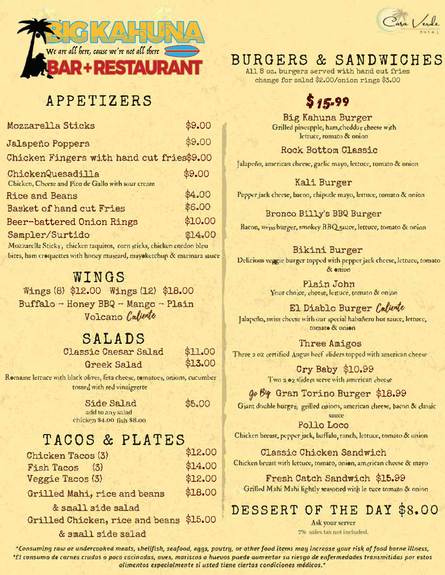

# APPETIZERS

| Mozzarella Sticks                                                      | \$9.00  |
|------------------------------------------------------------------------|---------|
| <b>Jalapeño Poppers</b>                                                | \$9.00  |
| Chicken Fingers with hand cut fries\$9.00                              |         |
| ChickenQuesadilla<br>Chicken, Cheese and Pico de Gallo with sour cream | \$9.00  |
| <b>Rice and Beans</b>                                                  | \$4.00  |
| <b>Basket of hand cut Fries</b>                                        | \$6.00  |
| Beer-battered Onion Rings                                              | \$10.00 |
| Sampler/Surtido                                                        | \$14.00 |
| Mcgrarella Sticke chicken taminos, corn sticke chicken cordon blau     |         |

bites, ham croquettes with honey mustard, mayoketchup & marinara sauce

### WINGS

Wings (8) \$12.00 Wings (12) \$18.00 Buffalo - Honey BBQ - Mango - Plain Volcano Calierte

# SALADS

| <b>Classic Caesar Salad</b> | \$11.00 |
|-----------------------------|---------|
| <b>Greek Salad</b>          | \$13.00 |

Romaine lettuce with black olives, feta cheese, tomatoes, onions, cucumber tossed with red vinaigrette

| <b>Side Salad</b>          |  |
|----------------------------|--|
| add to any salad           |  |
| chicken \$4.00 fish \$8.00 |  |

# TACOS & PLATES

| <b>Chicken Tacos (3)</b>     | 27500   |
|------------------------------|---------|
| Fish Tacos (3)               | \$14.00 |
| Veggie Tacos (3)             | \$12.00 |
| Grilled Mahi, rice and beans | \$18.00 |

Grilled Mahi, rice and beans

& small side salad Grilled Chicken, rice and beans \$15.00

& small side salad



## **BURGERS & SANDWICHES**

All 8 oz. burgers served with hand cut fries change for salad \$2.00/onion rings \$3.00

# $$15.99$

Big Kahuna Burger Grilled pineapple, ham, cheddar cheese with lettuce, tomato & onion

**Rock Bottom Classic** 

Jalapeño, american cheese, garlic mayo, lettuce, tomato & onion

#### Kali Burger

Pepper jack cheese, bacon, chipotle mayo, lettuce, tomato & onion

#### Bronco Billy's BBQ Burger

Bacon, swiss burger, smokey BBQ sauce, lettuce, tomato & onion

#### **Bikini Burger**

Delicious veggie burger topped with pepper jack cheese, lettuce, tomato  $R$  enjoy

> Plain John Your choice, cheese, lettuce, tomato & onion

El Diablo Burger Caliente Jalapeño, swiss cheese with our special habañero hot sauce, lettuce, tomate & onion

Three Amigos Three 2 oz certified Angus beef sliders topped with american cheese

> Cry Baby \$10.99 Two a oz sliders serve with american cheese

go By Gran Torino Burger \$18.99

Giant double burger, grilled onions, american cheese, bacon & classic sauce

**Pollo Loco** Chicken breast, pepper jack, buffalo, ranch, lettuce, tomato & onion

Classic Chicken Sandwich Chicken breast with lettuce, tomato, onion, american cheese & mayo

Fresh Catch Sandwich \$15.99 Grilled Mahi Mahi lightly seasoned with le-tuce tomato & onion

# DESSERT OF THE DAY \$8.00

Ask your server 7% sales tax not included.

\*Consuming raw or undercooked meats, shellfish, seafood, eggs, poutry, or other food items may increase your risk of food borne illness, \*El consumo de carnes crudas o poco cocinadas, aves, mariscos o huevos puede aumentar su riesgo de enfermedades transmitidas por estos alimentos especialmente si usted tiene ciertas condiciones médicos."

\$5.00